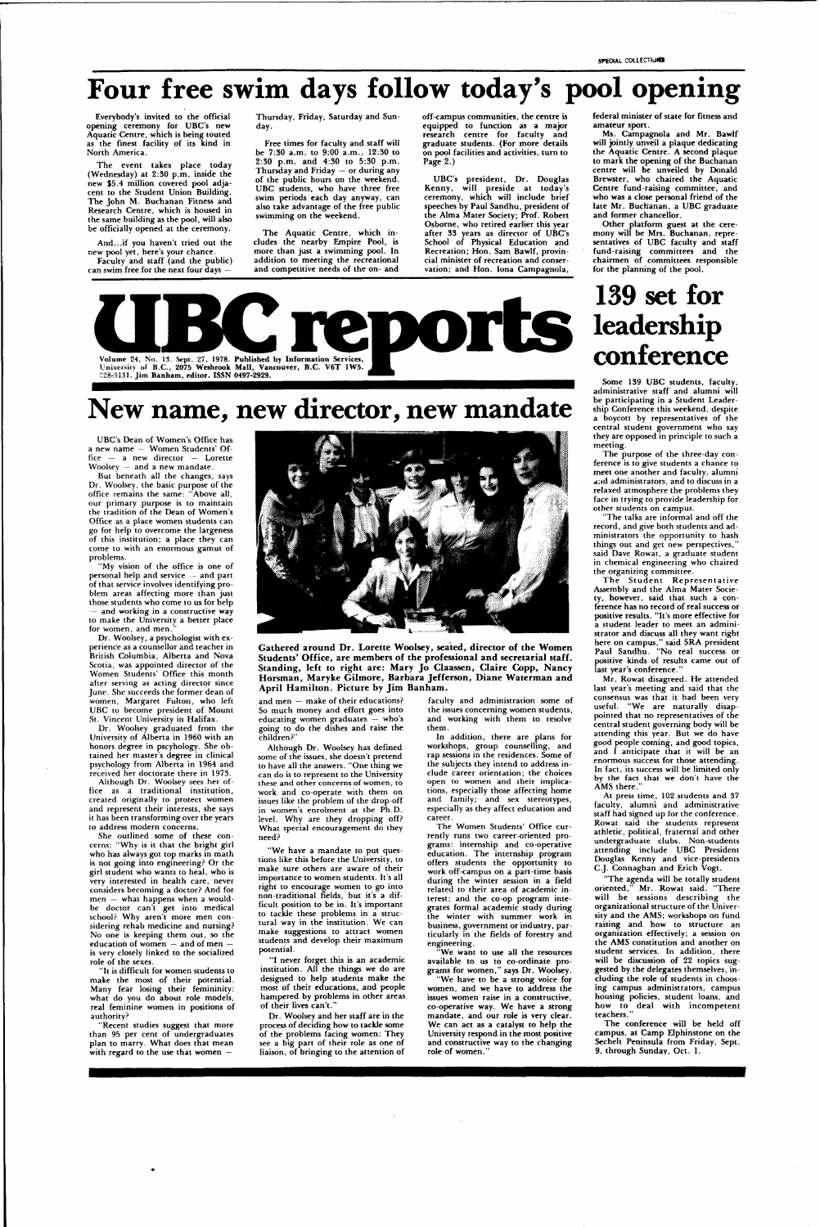## **Four free swim days follow today's pool opening**

Everybody's invited to the official opening ceremony for UBC's new Aquatic Centre, which is being touted as the finest facility of its kind in North America.

The event takes place today (Wednesday) at 2:30 p.m. inside the new \$5.4 million covered pool adjacent to the Student Union Building. The John M. Buchanan Fitness and Research Centre, which is housed in the same building as the pool, will also be officially opened at the ceremony.

And...if you haven't tried out the new pool yet, here's your chance.

Faculty and staff (and the public) can swim free for the next four days —

Thursday, Friday, Saturday and Sunday.

Free times for faculty and staff will be 7:30 a.m. to 9:00 a.m., 12:30 to 2:30 p.m. and 4:30 to 5:30 p.m. Thursday and Friday — or during any of the public hours on the weekend. UBC students, who have three free swim periods each day anyway, can also take advantage of the free public swimming on the weekend.

The Aquatic Centre, which includes the nearby Empire Pool, is more than just a swimming pool. In addition to meeting the recreational and competitive needs of the on- and

"My vision of the office is one of personal help and service — and part of that service involves identifying problem areas affecting more than just those students who come to us for help - and working in a constructive way to make the University a better place for women, and men.

off-campus communities, the centre is equipped to function as a major research centre for faculty and graduate students. (For more details on pool facilities and activities, turn to Page 2.)

UBC's president, Dr. Douglas Kenny, will preside at today's ceremony, which will include brief speeches by Paul Sandhu, president of the Alma Mater Society; Prof. Robert Osborne, who retired earlier this year after 33 years as director of UBC's School of Physical Education and Recreation; Hon. Sam Bawlf, provincial minister of recreation and conservation; and Hon. lona Campagnola,

She outlined some of these concerns: "Why is it that the bright girl who has always got top marks in math is not going into engineering? Or the girl student who wants to heal, who is very interested in health care, never considers becoming a doctor? And for men — what happens when a wouldbe doctor can't get into medical school? Why aren't more men considering rehab medicine and nursing? No one is keeping them out, so the education of women — and of men is very closely linked to the socialized role of the sexes. "It is difficult for women students to make the most of their potential. Many fear losing their femininity: what do you do about role models, real feminine women in positions of authority? "Recent studies suggest that more than 95 per cent of undergraduates plan to marry. What does that mean with regard to the use that women



Gathered around Dr. Lorette Woolsey, seated, director of the Women **Students' Office , are member s of the professional an d secretarial staff.**  Standing, left to right are: Mary Jo Claassen, Claire Copp, Nancy Horsman, Maryke Gilmore, Barbara Jefferson, Diane Waterman and April Hamilton. Picture by Jim Banham.



### **New name, new director, new mandate**

UBC's Dean of Women's Office has a new name — Women Students' Office — a new director — Lorette Woolsey — and a new mandate.

But beneath all the changes, says Dr. Woolsey, the basic purpose of the office remains the same: "Above all, our primary purpose is to maintain the tradition of the Dean of Women's Office as a place women students can go for help to overcome the largeness of this institution; a place they can come to with an enormous gamut of problems.

> "I never forget this is an academic institution. All the things we do are designed to help students make the most of their educations, and people hampered by problems in other areas of their lives can't.

Dr. Woolsey, a psychologist with experience as a counsellor and teacher in British Columbia, Alberta and Nova Scotia, was appointed director of the Women Students' Office this month after serving as acting director since June. She succeeds the former dean of women, Margaret Fulton, who left UBC to become president of Mount St. Vincent University in Halifax.

Dr. Woolsey graduated from the University of Alberta in 1960 with an honors degree in pscyhology. She obtained her master's degree in clinical psychology from Alberta in 1964 and received her doctorate there in 1973.

Although Dr. Woolsey sees her office as a traditional institution, created originally to protect women and represent their interests, she says it has been transforming over the years to address modern concerns.

Mr. Rowat disagreed. He attended last year's meeting and said that the consensus was that it had been very useful. "We are naturally disappointed that no representatives of the central student governing body will be attending this year. But we do have good people coming, and good topics, and I anticipate that it will be an enormous success for those attending. In fact, its success will be limited only by the fact that we don't have the AMS there.

and men — make of their educations? So much money and effort goes into educating women graduates — who's going to do the dishes and raise the children?"

Although Dr. Woolsey has defined some of the issues, she doesn't pretend to have all the answers. "One thing we can do is to represent to the University these and other concerns of women, to work and co-operate with them on issues like the problem of the drop-off in women's enrolment at the Ph.D. level. Why are they dropping off? What special encouragement do they need?

"We have a mandate to put questions like this before the University, to make sure others are aware of their importance to women students. It's all right to encourage women to go into non-traditional fields, but it's a difficult position to be in. It's important to tackle these problems in a structural way in the institution. We can make suggestions to attract women students and develop their maximum potential.

Dr. Woolsey and her staff are in the process of deciding how to tackle some of the problems facing women: They see a big part of their role as one of liaison, of bringing to the attention of

faculty and administration some of the issues concerning women students, and working with them to resolve them.

In addition, there are plans for workshops, group counselling, and rap sessions in the residences. Some of the subjects they intend to address include career orientation; the choices open to women and their implications, especially those affecting home and family; and sex stereotypes, especially as they affect education and career.

The Women Students' Office currently runs two career-oriented programs: internship and co-operative education. The internship program offers students the opportunity to work off-campus on a part-time basis during the winter session in a field related to their area of academic interest; and the co-op program integrates formal academic study during the winter with summer work in business, government or industry, particularly in the fields of forestry and engineering.

"We want to use all the resources available to us to co-ordinate programs for women," says Dr. Woolsey.

"We have to be a strong voice for women, and we have to address the issues women raise in a constructive, co-operative way. We have a strong mandate, and our role is very clear. We can act as a catalyst to help the University respond in the most positive and constructive way to the changing role of women."

federal minister of state for fitness and amateur sport.

e a la

Ms. Campagnola and Mr. Bawlf will jointly unveil a plaque dedicating the Aquatic Centre. A second plaque to mark the opening of the Buchanan centre will be unveiled by Donald Brewster, who chaired the Aquatic Centre fund-raising committee, and who was a close personal friend of the late Mr. Buchanan, a UBC graduate and former chancellor.

Other platform guest at the ceremony will be Mrs. Buchanan, representatives of UBC faculty and staff fund-raising committees and the chairmen of committees responsible for the planning of the pool.

### **139 set for leadership conference**

Some 139 UBC students, faculty, administrative staff and alumni will be participating in a Student Leadership Conference this weekend, despite a boycott by representatives of the central student government who say they are opposed in principle to such a meeting.

The purpose of the three-day conference is to give students a chance to meet one another and faculty, alumni a:id administrators, and to discuss in a relaxed atmosphere the problems they face in trying to provide leadership for other students on campus.

"The talks are informal and off the record, and give both students and administrators the opportunity to hash things out and get new perspectives,' said Dave Rowat, a graduate student in chemical engineering who chaired the organizing committee.

The Student Representative Assembly and the Alma Mater Society, however, said that such a conference has no record of real success or positive results. "It's more effective for a student leader to meet an administrator and discuss all they want right here on campus, " said SRA president Paul Sandhu. "No real success or positive kinds of results came out of last year's conference.

At press time, 102 students and 37 faculty, alumni and administrative staff had signed up for the conference. Rowat said the students represent athletic, political, fraternal and other undergraduate clubs. Non-students attending include UBC President Douglas Kenny and vice-presidents C.J. Connaghan and Erich Vogt.

"The agenda will be totally student oriented," Mr. Rowat said. "There will be sessions describing the organizational structure of the University and the AMS; workshops on fund raising and how to structure an organization effectively; a session on the AMS constitution and another on student services. In addition, there will be discussion of 22 topics suggested by the delegates themselves, including the role of students in choosing campus administrators, campus housing policies, student loans, and how to deal with incompetent teachers." The conference will be held off campus, at Camp Elphinstone on the Sechelt Peninsula from Friday, Sept. 9, through Sunday, Oct. 1.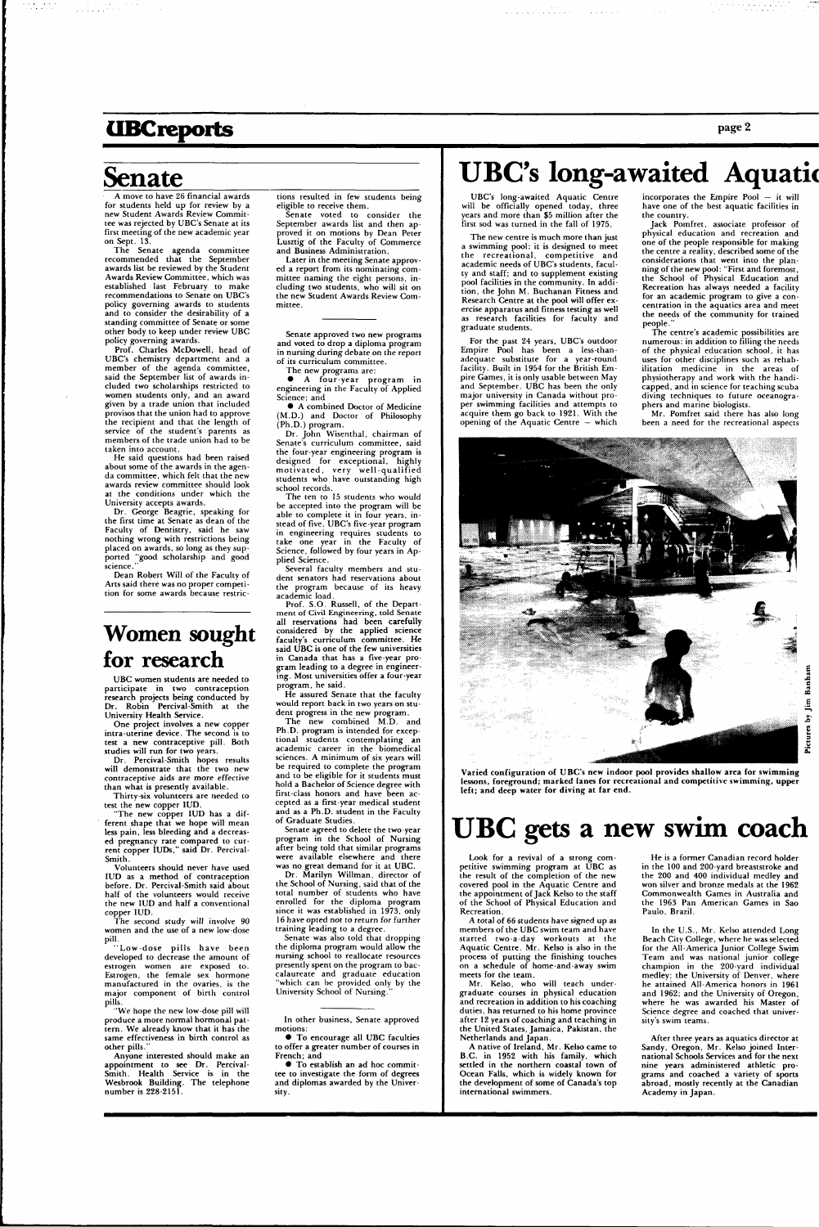### **UBCreports**

### **Senate**

**Contractor** 

page 2

A move to have 26 financial awards for students held up for review by a new Student Awards Review Committee was rejected by UBC's Senate at its first meeting of the new academic year on Sept. 13.

The Senate agenda committee recommended that the September awards list be reviewed by the Student Awards Review Committee, which was established last February to make recommendations to Senate on UBC's policy governing awards to students and to consider the desirability of a standing committee of Senate or some other body to keep under review UBC policy governing awards.

Dr. George Beagrie, speaking for the first time at Senate as dean of the Faculty of Dentistry, said he saw nothing wrong with restrictions being placed on awards, so long as they supported "good scholarship and good science.

Prof. Charles McDowell, head of UBC's chemistry department and a member of the agenda committee, said the September list of awards included two scholarships restricted to women students only, and an award given by a trade union that included provisos that the union had to approve the recipient and that the length of service of the student's parents as members of the trade union had to be taken into account.

He said questions had been raised about some of the awards in the agenda committee, which felt that the new awards review committee should look at the conditions under which the University accepts awards.

The new copper IUD has a different shape that we hope will mean less pain, less bleeding and a decreased pregnancy rate compared to current copper IUDs," said Dr. Percival-Smith.

"Low-dose pills have been developed to decrease the amount of estrogen women are exposed to. Estrogen, the female sex hormone manufactured in the ovaries, is the major component of birth control pills.

Dean Robert Will of the Faculty of Arts said there was no proper competition for some awards because restric-

### Women sought for research

Later in the meeting Senate approved a report from its nominating committee naming the eight persons, including two students, who will sit on the new Student Awards Review Com-<br>mittee.

UBC women students are needed to participate in two contraception research projects being conducted by Dr. Robin Percival-Smith at the University Health Service.

One project involves a new copper intra-uterine device. The second is to test a new contraceptive pill. Both studies will run for two years.

Dr. Percival-Smith hopes results will demonstrate that the two new contraceptive aids are more effective than what is presently available.

Dr. John Wisenthal, chairman of Senate's curriculum committee, said the four-year engineering program is designed for exceptional, highly motivated, very well-qualified students who have outstanding high school records.

Thirty-six volunteers are needed to test the new copper IUD.

Volunteers should never have used IUD as a method of contraception before. Dr. Percival-Smith said about half of the volunteers would receive

the new IUD and half a conventional copper IUD.

The second study will involve 90 women and the use of a new low-dose pill.

"We hope the new low-dose pill will produce a more normal hormonal pattern. We already know that it has the same effectiveness in birth control as other pills."

Anyone interested should make an appointment to see Dr. Percival-Smith. Health Service is in the Wesbrook Building. The telephone number is 228-2151.

tions resulted in few students being eligible to receive them.

Senate voted to consider the September awards list and then approved it on motions by Dean Peter Lusztig of the Faculty of Commerce and Business Administration.

Senate approved two new programs and voted to drop a diploma program in nursing during debate on the report of its curriculum committee.

The new programs are:

• A four-year program in engineering in the Faculty of Applied Science; and

• A combined Doctor of Medicine (M.D.) and Doctor of Philosophy (Ph.D.) program.

The ten to 15 students who would be accepted into the program will be able to complete it in four years, instead of five. UBC's five-year program in engineering requires students to take one year in the Faculty of Science, followed by four years in Applied Science.

Several faculty members and student senators had reservations about the program because of its heavy academic load.

Prof. S.O. Russell, of the Department of Civil Engineering, told Senate all reservations had been carefully considered by the applied science faculty's curriculum committee. He said UBC is one of the few universities in Canada that has a five-year program leading to a degree in engineering. Most universities offer a four-year program, he said.

He assured Senate that the faculty would report back in two years on student progress in the new program.

The new combined M.D. and Ph.D. program is intended for exceptional students contemplating an academic career in the biomedical sciences. A minimum of six years will be required to complete the program and to be eligible for it students must hold a Bachelor of Science degree with first-class honors and have been accepted as a first-year medical student and as a Ph.D. student in the Faculty of Graduate Studies.

Senate agreed to delete the two-year program in the School of Nursing after being told that similar programs were available elsewhere and there was no great demand for it at UBC.

Dr. Marilyn Willman, director of the School of Nursing, said that of the total number of students who have enrolled for the diploma program since it was established in 1973, only 16 have opted not to return for further training leading to a degree. Senate was also told that dropping the diploma program would allow the nursing school to reallocate resources presently spent on the program to baccalaureate and graduate education "which can be provided only by the University School of Nursing."

In other business, Senate approved motions:

• To encourage all UBC faculties to offer a greater number of courses in French; and

• To establish an ad hoc committee to investigate the form of degrees and diplomas awarded by the University.

### **UBC's long-awaited Aquatic**

UBC's long-awaited Aquatic Centre will be officially opened today, three years and more than \$5 million after the first sod was turned in the fall of 1975.

The new centre is much more than just a swimming pool: it is designed to meet the recreational, competitive and academic needs of UBC's students, faculty and staff; and to supplement existing pool facilities in the community. In addition, the John M. Buchanan Fitness and Research Centre at the pool will offer exercise apparatus and fitness testing as well as research facilities for faculty and graduate students.

For the past 24 years, UBC's outdoor Empire Pool has been a less-thanadequate substitute for a year-round facility. Built in 1954 for the British Empire Games, it is only usable between May and September. UBC has been the only major university in Canada without proper swimming facilities and attempts to acquire them go back to 1921. With the opening of the Aquatic Centre — which

incorporates the Empire Pool — it will have one of the best aquatic facilities in the country.

Jack Pomfret, associate professor of physical education and recreation and one of the people responsible for making the centre a reality, described some of the considerations that went into the planning of the new pool: "First and foremost. the School of Physical Education and Recreation has always needed a facility for an academic program to give a concentration in the aquatics area and meet the needs of the community for trained people."

The centre's academic possibilities are numerous: in addition to filling the needs of the physical education school, it has uses for other disciplines such as rehabilitation medicine in the areas of physiotherapy and work with the handicapped, and in science for teaching scuba diving techniques to future oceanographers and marine biologists.

Mr. Pomfret said there has also long been a need for the recreational aspects



**x s** 

Varied configuration of UBC's new indoor pool provides shallow area for swimming lessons, foreground; marked lanes for recreational and competitive swimming, upper left; and deep water for diving at far end.

### **UBC gets a new swim coach**

Look for a revival of a strong competitive swimming program at UBC as the result of the completion of the new covered pool in the Aquatic Centre and the appointment of Jack Kelso to the staff the School of Physical Education and Recreation. A total of 66 students have signed up as members of the UBC swim team and have started two-a-day workouts at the Aquatic Centre. Mr. Kelso is also in the process of putting the finishing touches on a schedule of home-and-away swim meets for the team. Mr. Kelso, who will teach undergraduate courses in physical education and recreation in addition to his coaching duties, has returned to his home province after 12 years of coaching and teaching in the United States, Jamaica, Pakistan, the Netherlands and Japan. A native of Ireland, Mr. Kelso came to B.C. in 1952 with his family, which settled in the northern coastal town of Ocean Falls, which is widely known for the development of some of Canada's top international swimmers.

He is a former Canadian record holder in the 100 and 200-yard breaststroke and the 200 and 400 individual medley and won silver and bronze medals at the 1962 Commonwealth Games in Australia and American Games in Paulo, Brazil.

In the U.S., Mr. Kelso attended Long Beach City College, where he was selected for the All-America Junior College Swim Team and was national junior college champion in the 200-yard individual medley; the University of Denver, where he attained All-America honors in 1961 and 1962; and the University of Oregon, where he was awarded his Master of Science degree and coached that university's swim teams.

After three years as aquatics director at Sandy, Oregon, Mr. Kelso joined International Schools Services and for the next nine years administered athletic programs and coached a variety of sports abroad, mostly recently at the Canadian Academy in Japan.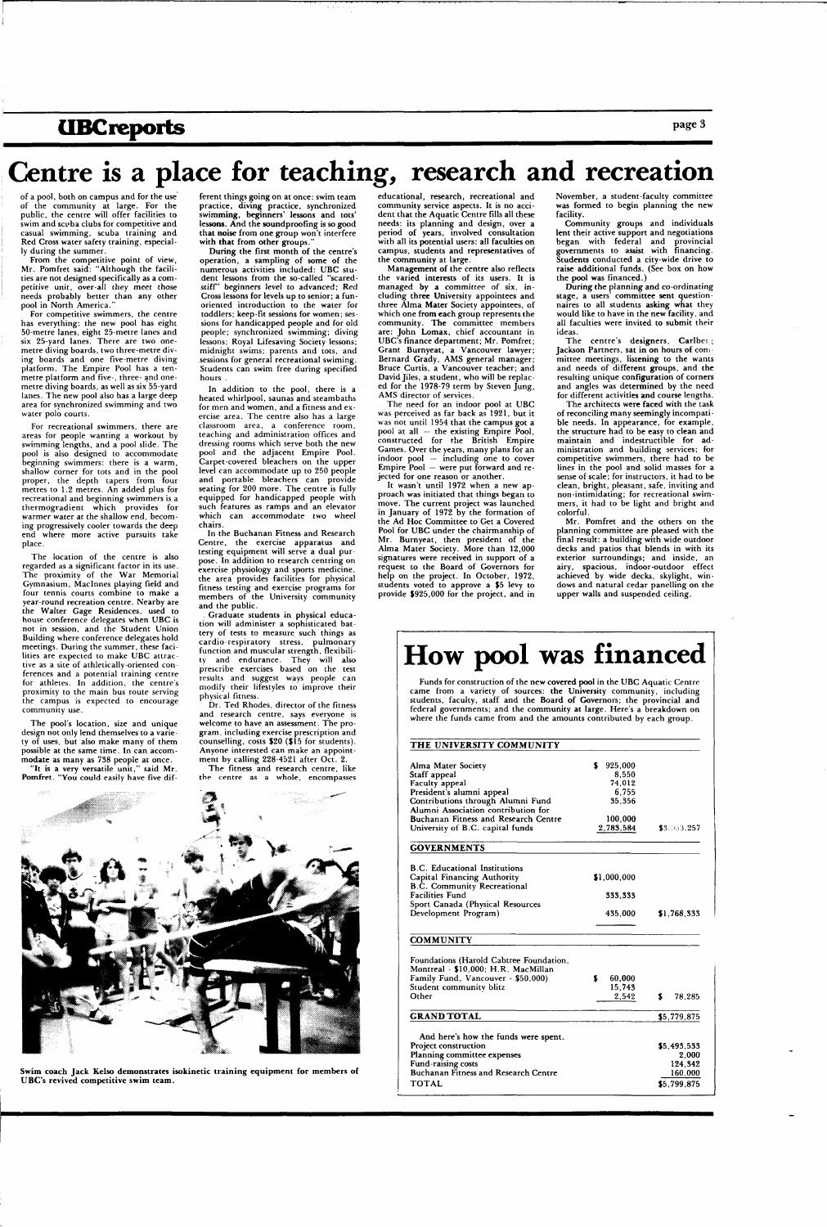### **UBC reports** page 3

## **Centre is a place for teaching, research and recreation**

of a pool, both on campus and for the use of the community at large. For the public, the centre will offer facilities to swim and scuba clubs for competitive and casual swimming, scuba training and Red Cross water safety training, especially during the summer.

From the competitive point of view, Mr. Pomfret said: "Although the facilities are not designed specifically as a competitive unit, over-all they meet those needs probably better than any other pool in North America."

For competitive swimmers, the centre has everything: the new pool has eight 50-metre lanes, eight 25-metre lanes and six 25-yard lanes. There are two onemetre diving boards, two three-metre diving boards and one five-metre diving platform. The Empire Pool has a tenmetre platform and five-, three- and onemetre diving boards, as well as six 55-yard lanes. The new pool also has a large deep area for synchronized swimming and two water polo courts.

ferent things going on at once: swim team practice, diving practice, synchronized swimming, beginners' lessons and tots' lessons. And the soundproofing is so good that noise from one group won't interfere with that from other groups.

For recreational swimmers, there are areas for people wanting a workout by swimming lengths, and a pool slide. The pool is also designed to accommodate beginning swimmers: there is a warm, shallow corner for tots and in the pool proper, the depth tapers from four metres to 1.2 metres. An added plus for recreational and beginning swimmers is a thermogradient which provides for warmer water at the shallow end, becoming progressively cooler towards the deep end where more active pursuits take place.

The location of the centre is also regarded as a significant factor in its use. The proximity of the War Memorial Gymnasium, Maclnnes playing field and four tennis courts combine to make a year-round recreation centre. Nearby are the Walter Gage Residences, used to house conference delegates when UBC is not in session, and the Student Union Building where conference delegates hold meetings. During the summer, these facilities are expected to make UBC attractive as a site of athletically-oriented conferences and a potential training centre for athletes. In addition, the centre's proximity to the main bus route serving the campus is expected to encourage community use.

Dr. Ted Rhodes, director of the fitness and research centre, says everyone is welcome to have an assessment. The program, including exercise prescription and counselling, costs \$20 (\$15 for students). Anyone interested can make an appointment by calling 228-4521 after Oct. 2.

The pool's location, size and unique design not only lend themselves to a variety of uses, but also make many of them possible at the same time. In can accommodate as many as 738 people at once.

"It is a very versatile unit," said Mr. Pomfret. "You could easily have five dif-

The need for an indoor pool at UBC was perceived as far back as 1921, but it was not until 1954 that the campus got a pool at all — the existing Empire Pool, constructed for the British Empire Games. Over the years, many plans for an indoor pool — including one to cover Empire Pool — were put forward and rejected for one reason or another.

During the first month of the centre's operation, a sampling of some of the numerous activities included: UBC student lessons from the so-called "scaredstiff" beginners level to advanced; Red Cross lessons for levels up to senior; a funoriented introduction to the water for toddlers; keep-fit sessions for women; sessions for handicapped people and for old people; synchronized swimming; diving lessons; Royal Lifesaving Society lessons; midnight swims; parents and tots, and sessions for general recreational swiming. Students can swim free during specified hours .

In addition to the pool, there is a heated whirlpool, saunas and steambaths for men and women, and a fitness and exercise area. The centre also has a large classroom area, a conference room, teaching and administration offices and dressing rooms which serve both the new pool and the adjacent Empire Pool. Carpet-covered bleachers on the upper level can accommodate up to 250 people and portable bleachers can provide seating for 200 more. The centre is fully equipped for handicapped people with such features as ramps and an elevator which can accommodate two wheel chairs.

The centre's designers, Carlbeig Jackson Partners, sat in on hours of committee meetings, listening to the wants and needs of different groups, and the resulting unique configuration of corners and angles was determined by the need for different activities and course lengths.

In the Buchanan Fitness and Research Centre, the exercise apparatus and testing equipment will serve a dual purpose. In addition to research centring on exercise physiology and sports medicine, the area provides facilities for physical fitness testing and exercise programs for members of the University community and the public.

. Graduate students in physical education will administer a sophisticated battery of tests to measure such things as cardio-respiratory stress, pulmonary function and muscular strength, flexibility and endurance. They will also prescribe exercises based on the test results and suggest ways people can modify their lifestyles to improve their physical fitness.

The fitness and research centre, like the centre as a whole, encompasses



educational, research, recreational and community service aspects. It is no accident that the Aquatic Centre fills all these needs: its planning and design, over a period of years, involved consultation with all its potential users: all faculties on campus, students and representatives of the community at large.

Management of the centre also reflects the varied interests of its users. It is managed by a committee of six, including three University appointees and three Alma Mater Society appointees, of which one from each group represents the community. The committee members are: John Lomax, chief accountant in UBC's finance department; Mr. Pomfret; Grant Burnyeat, a Vancouver lawyer; Bernard Grady, AMS general manager; Bruce Curtis, a Vancouver teacher; and David Jiles, a student, who will be replaced for the 1978-79 term by Steven Jung, AMS director of services.

It wasn't until 1972 when a new approach was initiated that things began to move. The current project was launched in January of 1972 by the formation of the Ad Hoc Committee to Get a Covered Pool for UBC under the chairmanship of Mr. Burnyeat, then president of the Alma Mater Society. More than 12,000 signatures were received in support of a request to the Board of Governors for help on the project. In October, 1972, students voted to approve a \$5 levy to provide \$925,000 for the project, and in

November, a student-faculty committee was formed to begin planning the new facility.

Community groups and individuals lent their active support and negotiations began with federal and provincial governments to assist with financing. Students conducted a city-wide drive to raise additional funds. (See box on how the pool was financed.)

During the planning and co-ordinating stage, a users' committee sent questionnaires to all students asking what they would like to have in the new facility, and all faculties were invited to submit their ideas.

The architects were faced with the task of reconciling many seemingly incompatible needs. In appearance, for example, the structure had to be easy to clean and maintain and indestructible for administration and building services; for competitive swimmers, there had to be lines in the pool and solid masses for a sense of scale; for instructors, it had to be clean, bright, pleasant, safe, inviting and non-intimidating; for recreational swimmers, it had to be light and bright and colorful.

Mr. Pomfret and the others on the planning committee are pleased with the final result: a building with wide outdoor decks and patios that blends in with its exterior surroundings; and inside, an airy, spacious, indoor-outdoor effect achieved by wide decks, skylight, windows and natural cedar panelling on the upper walls and suspended ceiling.

Swim coach Jack Kelso demonstrates isokinetic training equipment for members of UBC's revived competitive swim team.

# **How pool was financed**

Funds for construction of the new covered pool in the UBC Aquatic Centre came from a variety of sources: the University community, including students, faculty, staff and the Board of Governors; the provincial and federal governments; and the community at large. Here's a breakdown on where the funds came from and the amounts contributed by each group.

#### THE UNIVERSITY COMMUNITY

| Alma Mater Society                   | 925,000     |             |
|--------------------------------------|-------------|-------------|
| Staff appeal                         | 8.550       |             |
| Faculty appeal                       | 74,012      |             |
| President's alumni appeal            | 6.755       |             |
| Contributions through Alumni Fund    | 35,356      |             |
| Alumni Association contribution for  |             |             |
| Buchanan Fitness and Research Centre | 100,000     |             |
| University of B.C. capital funds     | 2,783,584   | \$3.033.257 |
| <b>GOVERNMENTS</b>                   |             |             |
| <b>B.C.</b> Educational Institutions |             |             |
| Capital Financing Authority          | \$1,000.000 |             |
| <b>B.C. Community Recreational</b>   |             |             |

Facilities Fund

|  |                      | Sport Canada (Physical Resources |
|--|----------------------|----------------------------------|
|  | Development Program) |                                  |

333,333

#### **COMMUNITY**

435,000 \$1,768,333

| Foundations (Harold Cabtree Foundation,<br>Montreal - \$10,000; H.R. MacMillan<br>Family Fund, Vancouver - \$50,000)<br>Student community blitz<br>Other                  | S | 60.000<br>15.743<br>2.542 | S | 78,285                                                    |  |
|---------------------------------------------------------------------------------------------------------------------------------------------------------------------------|---|---------------------------|---|-----------------------------------------------------------|--|
| <b>GRAND TOTAL</b>                                                                                                                                                        |   |                           |   | \$5,779,875                                               |  |
| And here's how the funds were spent.<br>Project construction<br>Planning committee expenses<br>Fund-raising costs<br>Buchanan Fitness and Research Centre<br><b>TOTAL</b> |   |                           |   | \$5.493.533<br>2.000<br>124.342<br>160,000<br>\$5.799.875 |  |